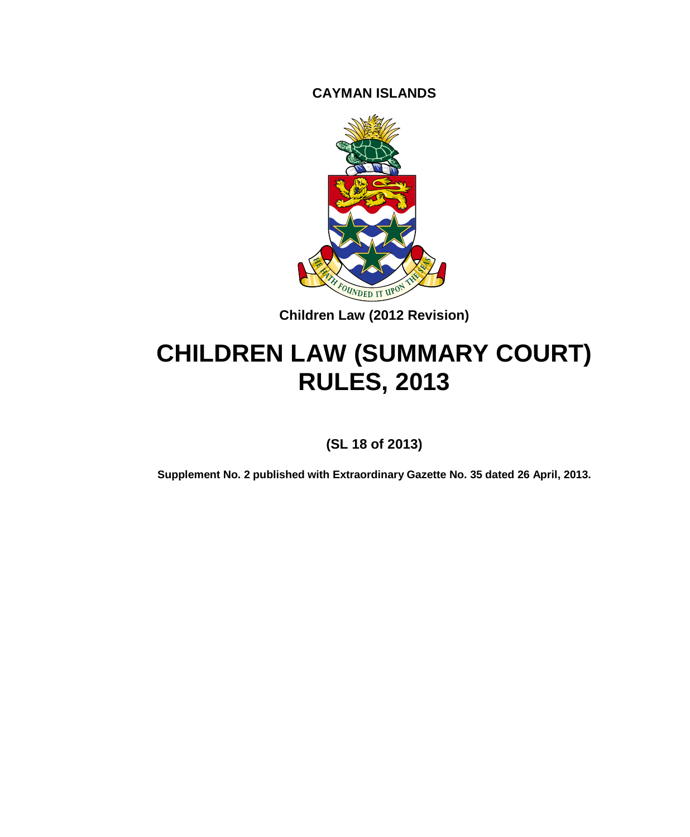**CAYMAN ISLANDS**



**Children Law (2012 Revision)**

# **CHILDREN LAW (SUMMARY COURT) RULES, 2013**

**(SL 18 of 2013)**

**Supplement No. 2 published with Extraordinary Gazette No. 35 dated 26 April, 2013.**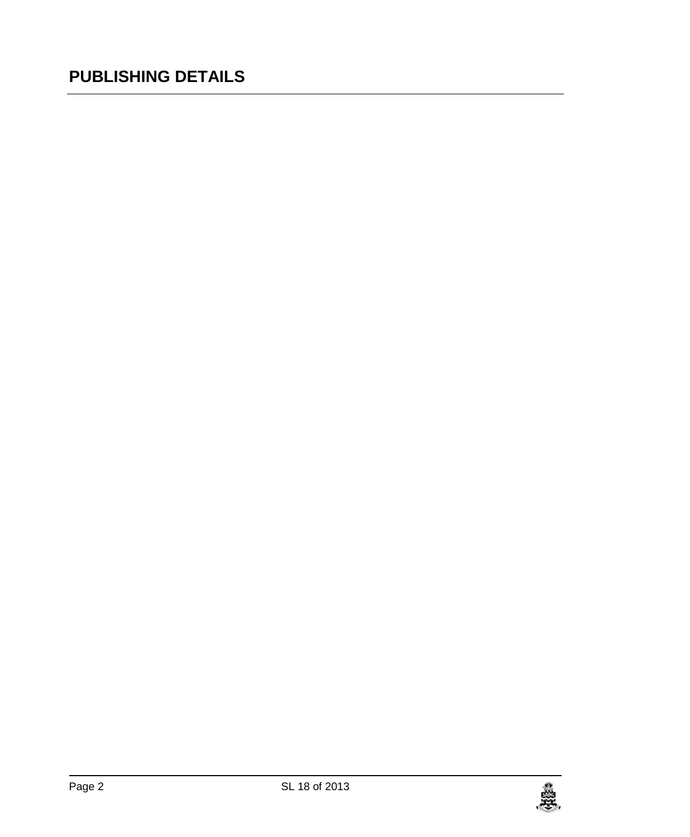# **PUBLISHING DETAILS**

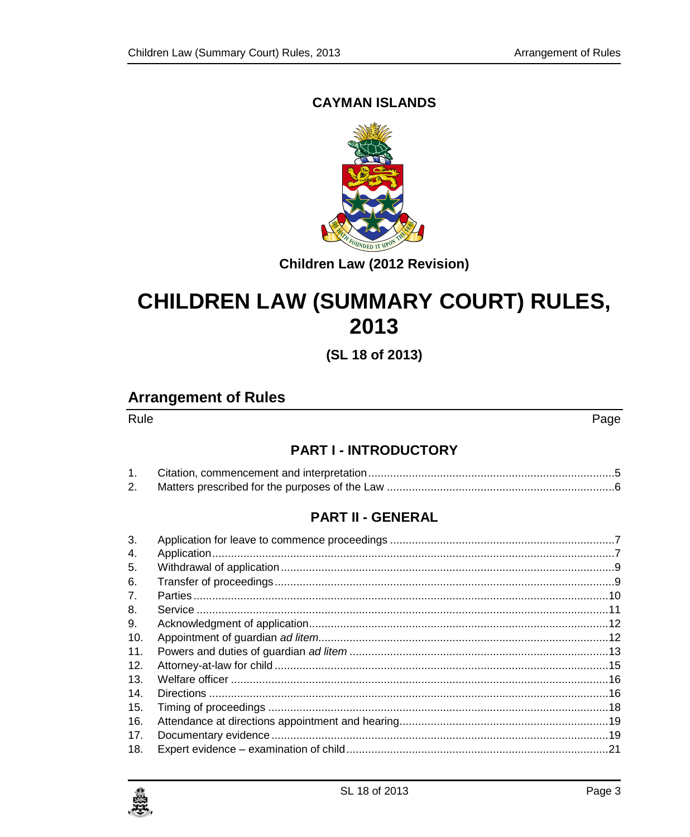### **CAYMAN ISLANDS**



**Children Law (2012 Revision)** 

# CHILDREN LAW (SUMMARY COURT) RULES, 2013

(SL 18 of 2013)

## **Arrangement of Rules**

#### Rule

Page

#### **PART I - INTRODUCTORY**

#### **PART II - GENERAL**

| 3.  |  |
|-----|--|
| 4.  |  |
| 5.  |  |
| 6.  |  |
| 7.  |  |
| 8.  |  |
| 9.  |  |
| 10. |  |
| 11. |  |
| 12. |  |
| 13. |  |
| 14. |  |
| 15. |  |
| 16. |  |
| 17. |  |
| 18. |  |

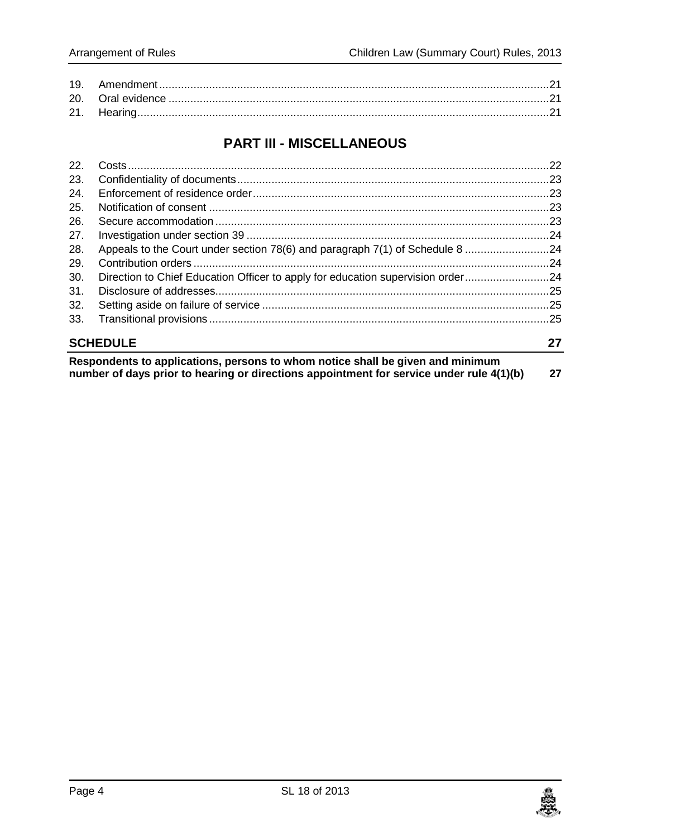## **PART III - [MISCELLANEOUS](#page-21-0)**

| 22.                                                                            |                                                                                 |  |  |  |
|--------------------------------------------------------------------------------|---------------------------------------------------------------------------------|--|--|--|
| 23.                                                                            |                                                                                 |  |  |  |
| 24.                                                                            |                                                                                 |  |  |  |
| 25.                                                                            |                                                                                 |  |  |  |
| 26.                                                                            |                                                                                 |  |  |  |
| 27.                                                                            |                                                                                 |  |  |  |
| 28.                                                                            |                                                                                 |  |  |  |
| 29.                                                                            |                                                                                 |  |  |  |
| 30.                                                                            | Direction to Chief Education Officer to apply for education supervision order24 |  |  |  |
| 31.                                                                            |                                                                                 |  |  |  |
| 32.                                                                            |                                                                                 |  |  |  |
| 33.                                                                            |                                                                                 |  |  |  |
| <b>SCHEDULE</b><br>27                                                          |                                                                                 |  |  |  |
| Respondents to applications, persons to whom notice shall be given and minimum |                                                                                 |  |  |  |

| Respondents to applications, persons to whom notice shall be given and minimum           |    |
|------------------------------------------------------------------------------------------|----|
| number of days prior to hearing or directions appointment for service under rule 4(1)(b) | 27 |

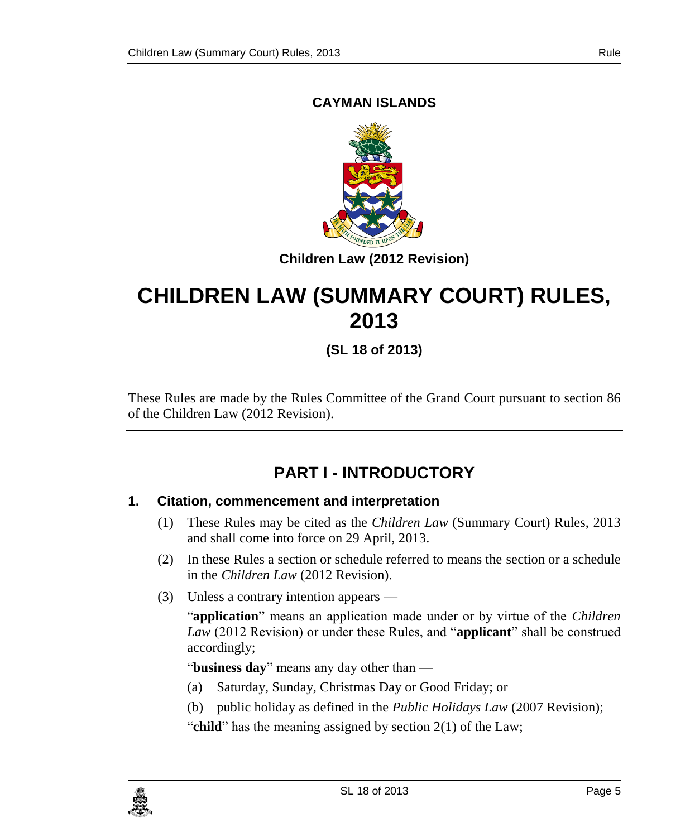## **CAYMAN ISLANDS**



# **CHILDREN LAW (SUMMARY COURT) RULES, 2013**

**(SL 18 of 2013)**

These Rules are made by the Rules Committee of the Grand Court pursuant to section 86 of the Children Law (2012 Revision).

# **PART I - INTRODUCTORY**

#### <span id="page-4-1"></span><span id="page-4-0"></span>**1. Citation, commencement and interpretation**

- (1) These Rules may be cited as the *Children Law* (Summary Court) Rules, 2013 and shall come into force on 29 April, 2013.
- (2) In these Rules a section or schedule referred to means the section or a schedule in the *Children Law* (2012 Revision).
- (3) Unless a contrary intention appears —

"**application**" means an application made under or by virtue of the *Children Law* (2012 Revision) or under these Rules, and "**applicant**" shall be construed accordingly;

"**business day**" means any day other than —

- (a) Saturday, Sunday, Christmas Day or Good Friday; or
- (b) public holiday as defined in the *Public Holidays Law* (2007 Revision);

"**child**" has the meaning assigned by section 2(1) of the Law;

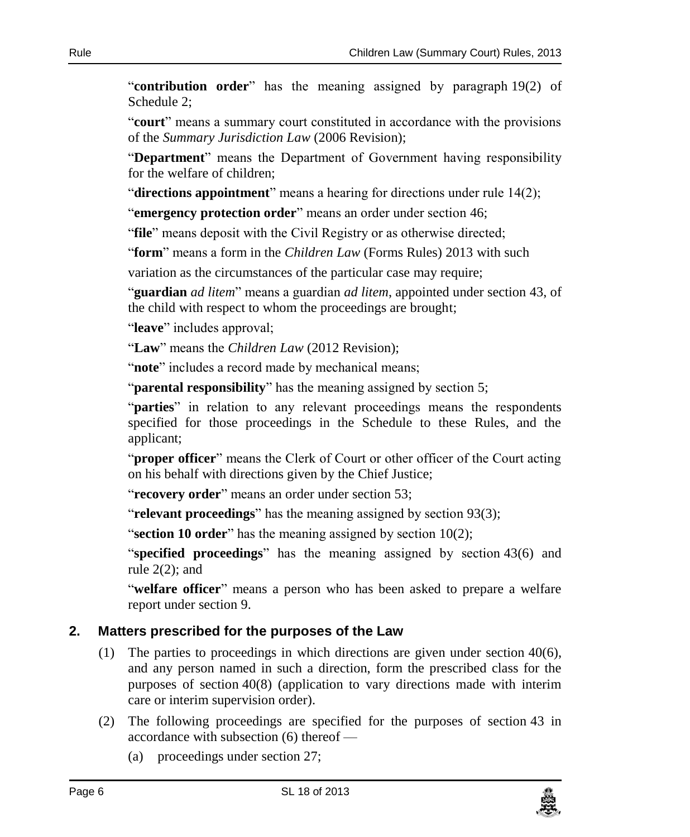"**contribution order**" has the meaning assigned by paragraph 19(2) of Schedule 2;

"**court**" means a summary court constituted in accordance with the provisions of the *Summary Jurisdiction Law* (2006 Revision);

"**Department**" means the Department of Government having responsibility for the welfare of children;

"**directions appointment**" means a hearing for directions under rule 14(2);

"**emergency protection order**" means an order under section 46;

"**file**" means deposit with the Civil Registry or as otherwise directed;

"**form**" means a form in the *Children Law* (Forms Rules) 2013 with such

variation as the circumstances of the particular case may require;

"**guardian** *ad litem*" means a guardian *ad litem*, appointed under section 43, of the child with respect to whom the proceedings are brought;

"**leave**" includes approval;

"**Law**" means the *Children Law* (2012 Revision);

"**note**" includes a record made by mechanical means;

"**parental responsibility**" has the meaning assigned by section 5;

"**parties**" in relation to any relevant proceedings means the respondents specified for those proceedings in the Schedule to these Rules, and the applicant;

"**proper officer**" means the Clerk of Court or other officer of the Court acting on his behalf with directions given by the Chief Justice;

"**recovery order**" means an order under section 53;

"**relevant proceedings**" has the meaning assigned by section 93(3);

"**section 10 order**" has the meaning assigned by section 10(2);

"**specified proceedings**" has the meaning assigned by section 43(6) and rule 2(2); and

"**welfare officer**" means a person who has been asked to prepare a welfare report under section 9.

#### <span id="page-5-0"></span>**2. Matters prescribed for the purposes of the Law**

- (1) The parties to proceedings in which directions are given under section 40(6), and any person named in such a direction, form the prescribed class for the purposes of section 40(8) (application to vary directions made with interim care or interim supervision order).
- (2) The following proceedings are specified for the purposes of section 43 in accordance with subsection (6) thereof —
	- (a) proceedings under section 27;

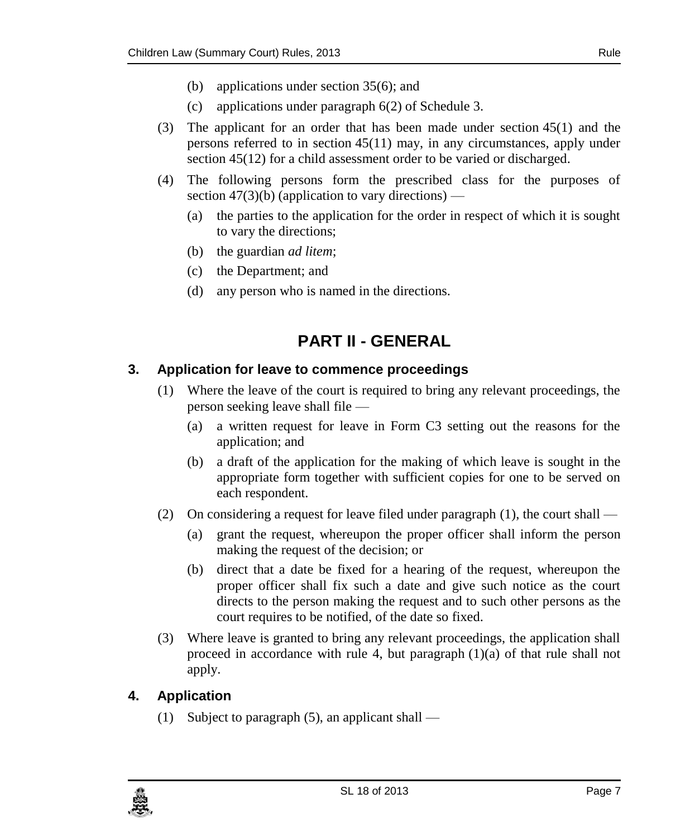- (b) applications under section 35(6); and
- (c) applications under paragraph 6(2) of Schedule 3.
- (3) The applicant for an order that has been made under section 45(1) and the persons referred to in section 45(11) may, in any circumstances, apply under section 45(12) for a child assessment order to be varied or discharged.
- (4) The following persons form the prescribed class for the purposes of section  $47(3)(b)$  (application to vary directions) —
	- (a) the parties to the application for the order in respect of which it is sought to vary the directions;
	- (b) the guardian *ad litem*;
	- (c) the Department; and
	- (d) any person who is named in the directions.

# **PART II - GENERAL**

#### <span id="page-6-1"></span><span id="page-6-0"></span>**3. Application for leave to commence proceedings**

- (1) Where the leave of the court is required to bring any relevant proceedings, the person seeking leave shall file —
	- (a) a written request for leave in Form C3 setting out the reasons for the application; and
	- (b) a draft of the application for the making of which leave is sought in the appropriate form together with sufficient copies for one to be served on each respondent.
- (2) On considering a request for leave filed under paragraph (1), the court shall
	- (a) grant the request, whereupon the proper officer shall inform the person making the request of the decision; or
	- (b) direct that a date be fixed for a hearing of the request, whereupon the proper officer shall fix such a date and give such notice as the court directs to the person making the request and to such other persons as the court requires to be notified, of the date so fixed.
- (3) Where leave is granted to bring any relevant proceedings, the application shall proceed in accordance with rule 4, but paragraph  $(1)(a)$  of that rule shall not apply.

### <span id="page-6-2"></span>**4. Application**

(1) Subject to paragraph  $(5)$ , an applicant shall —

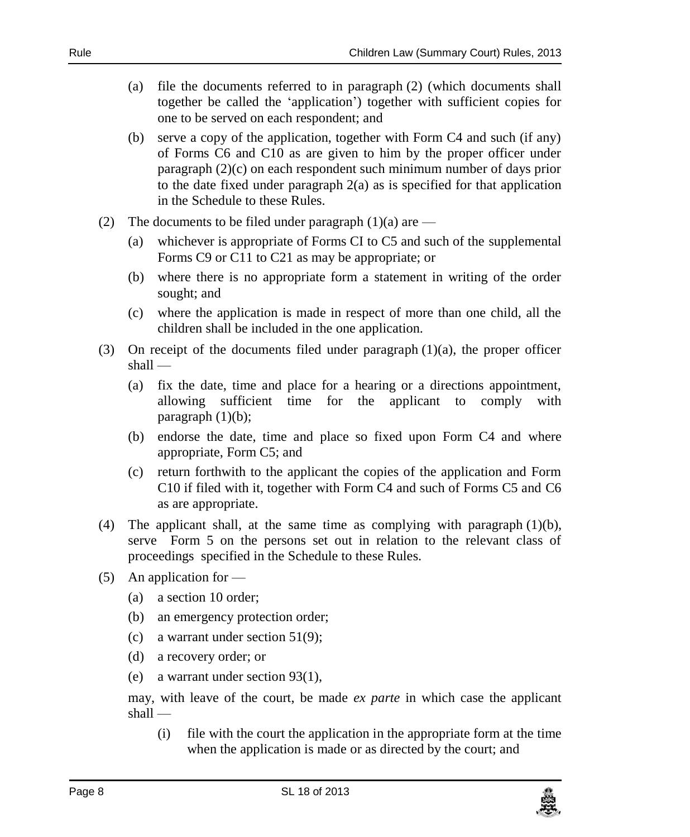- (a) file the documents referred to in paragraph (2) (which documents shall together be called the 'application') together with sufficient copies for one to be served on each respondent; and
- (b) serve a copy of the application, together with Form C4 and such (if any) of Forms C6 and C10 as are given to him by the proper officer under paragraph (2)(c) on each respondent such minimum number of days prior to the date fixed under paragraph 2(a) as is specified for that application in the Schedule to these Rules.
- (2) The documents to be filed under paragraph  $(1)(a)$  are
	- (a) whichever is appropriate of Forms CI to C5 and such of the supplemental Forms C9 or C11 to C21 as may be appropriate; or
	- (b) where there is no appropriate form a statement in writing of the order sought; and
	- (c) where the application is made in respect of more than one child, all the children shall be included in the one application.
- (3) On receipt of the documents filed under paragraph  $(1)(a)$ , the proper officer shall —
	- (a) fix the date, time and place for a hearing or a directions appointment, allowing sufficient time for the applicant to comply with paragraph  $(1)(b)$ ;
	- (b) endorse the date, time and place so fixed upon Form C4 and where appropriate, Form C5; and
	- (c) return forthwith to the applicant the copies of the application and Form C10 if filed with it, together with Form C4 and such of Forms C5 and C6 as are appropriate.
- (4) The applicant shall, at the same time as complying with paragraph  $(1)(b)$ , serve Form 5 on the persons set out in relation to the relevant class of proceedings specified in the Schedule to these Rules.
- (5) An application for
	- (a) a section 10 order;
	- (b) an emergency protection order;
	- (c) a warrant under section 51(9);
	- (d) a recovery order; or
	- (e) a warrant under section 93(1),

may, with leave of the court, be made *ex parte* in which case the applicant shall —

(i) file with the court the application in the appropriate form at the time when the application is made or as directed by the court; and

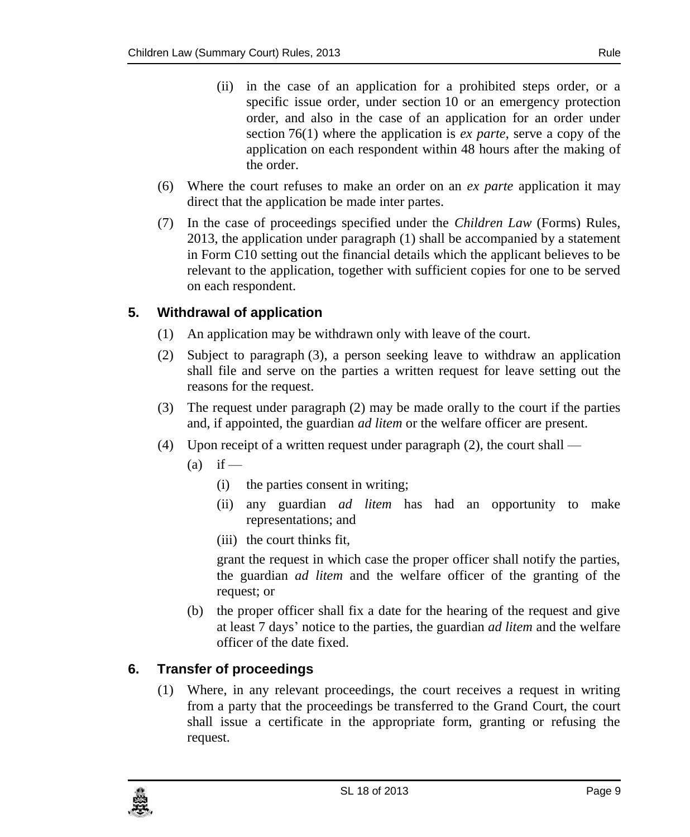- (ii) in the case of an application for a prohibited steps order, or a specific issue order, under section 10 or an emergency protection order, and also in the case of an application for an order under section 76(1) where the application is *ex parte*, serve a copy of the application on each respondent within 48 hours after the making of the order.
- (6) Where the court refuses to make an order on an *ex parte* application it may direct that the application be made inter partes.
- (7) In the case of proceedings specified under the *Children Law* (Forms) Rules, 2013, the application under paragraph (1) shall be accompanied by a statement in Form C10 setting out the financial details which the applicant believes to be relevant to the application, together with sufficient copies for one to be served on each respondent.

#### <span id="page-8-0"></span>**5. Withdrawal of application**

- (1) An application may be withdrawn only with leave of the court.
- (2) Subject to paragraph (3), a person seeking leave to withdraw an application shall file and serve on the parties a written request for leave setting out the reasons for the request.
- (3) The request under paragraph (2) may be made orally to the court if the parties and, if appointed, the guardian *ad litem* or the welfare officer are present.
- (4) Upon receipt of a written request under paragraph (2), the court shall
	- $(a)$  if
		- (i) the parties consent in writing;
		- (ii) any guardian *ad litem* has had an opportunity to make representations; and
		- (iii) the court thinks fit,

grant the request in which case the proper officer shall notify the parties, the guardian *ad litem* and the welfare officer of the granting of the request; or

(b) the proper officer shall fix a date for the hearing of the request and give at least 7 days' notice to the parties, the guardian *ad litem* and the welfare officer of the date fixed.

#### <span id="page-8-1"></span>**6. Transfer of proceedings**

(1) Where, in any relevant proceedings, the court receives a request in writing from a party that the proceedings be transferred to the Grand Court, the court shall issue a certificate in the appropriate form, granting or refusing the request.

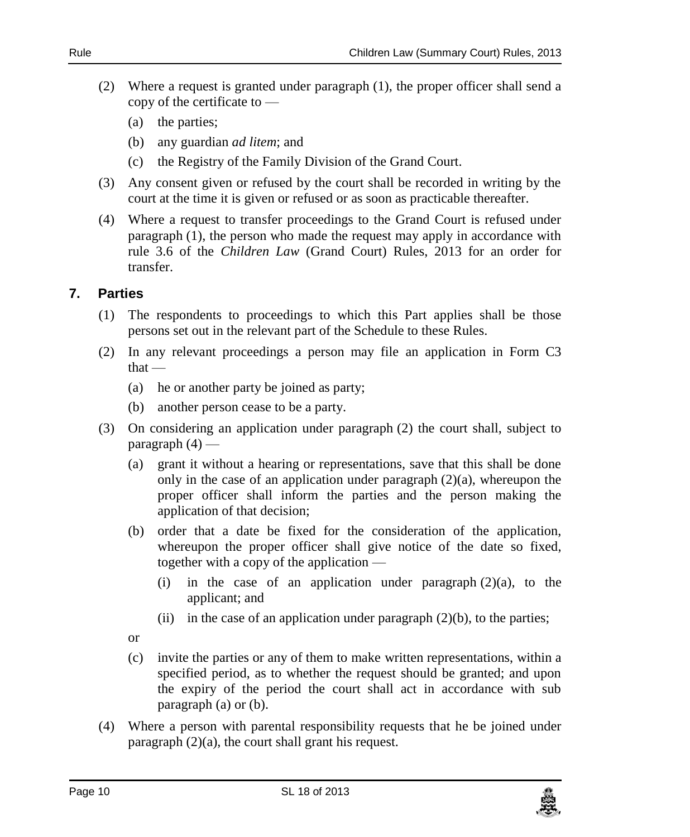- (2) Where a request is granted under paragraph (1), the proper officer shall send a copy of the certificate to —
	- (a) the parties;
	- (b) any guardian *ad litem*; and
	- (c) the Registry of the Family Division of the Grand Court.
- (3) Any consent given or refused by the court shall be recorded in writing by the court at the time it is given or refused or as soon as practicable thereafter.
- (4) Where a request to transfer proceedings to the Grand Court is refused under paragraph (1), the person who made the request may apply in accordance with rule 3.6 of the *Children Law* (Grand Court) Rules, 2013 for an order for transfer.

#### <span id="page-9-0"></span>**7. Parties**

- (1) The respondents to proceedings to which this Part applies shall be those persons set out in the relevant part of the Schedule to these Rules.
- (2) In any relevant proceedings a person may file an application in Form C3 that —
	- (a) he or another party be joined as party;
	- (b) another person cease to be a party.
- (3) On considering an application under paragraph (2) the court shall, subject to paragraph  $(4)$  —
	- (a) grant it without a hearing or representations, save that this shall be done only in the case of an application under paragraph  $(2)(a)$ , whereupon the proper officer shall inform the parties and the person making the application of that decision;
	- (b) order that a date be fixed for the consideration of the application, whereupon the proper officer shall give notice of the date so fixed, together with a copy of the application —
		- (i) in the case of an application under paragraph  $(2)(a)$ , to the applicant; and
		- (ii) in the case of an application under paragraph  $(2)(b)$ , to the parties;

or

- (c) invite the parties or any of them to make written representations, within a specified period, as to whether the request should be granted; and upon the expiry of the period the court shall act in accordance with sub paragraph (a) or (b).
- (4) Where a person with parental responsibility requests that he be joined under paragraph (2)(a), the court shall grant his request.

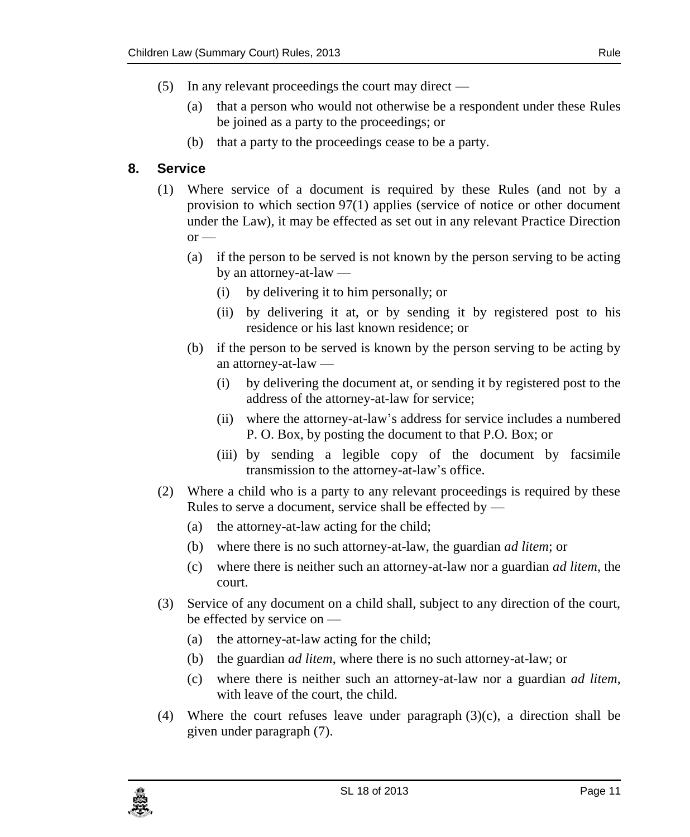- (5) In any relevant proceedings the court may direct
	- (a) that a person who would not otherwise be a respondent under these Rules be joined as a party to the proceedings; or
	- (b) that a party to the proceedings cease to be a party.

### <span id="page-10-0"></span>**8. Service**

- (1) Where service of a document is required by these Rules (and not by a provision to which section 97(1) applies (service of notice or other document under the Law), it may be effected as set out in any relevant Practice Direction  $or$  —
	- (a) if the person to be served is not known by the person serving to be acting by an attorney-at-law —
		- (i) by delivering it to him personally; or
		- (ii) by delivering it at, or by sending it by registered post to his residence or his last known residence; or
	- (b) if the person to be served is known by the person serving to be acting by an attorney-at-law —
		- (i) by delivering the document at, or sending it by registered post to the address of the attorney-at-law for service;
		- (ii) where the attorney-at-law's address for service includes a numbered P. O. Box, by posting the document to that P.O. Box; or
		- (iii) by sending a legible copy of the document by facsimile transmission to the attorney-at-law's office.
- (2) Where a child who is a party to any relevant proceedings is required by these Rules to serve a document, service shall be effected by —
	- (a) the attorney-at-law acting for the child;
	- (b) where there is no such attorney-at-law, the guardian *ad litem*; or
	- (c) where there is neither such an attorney-at-law nor a guardian *ad litem*, the court.
- (3) Service of any document on a child shall, subject to any direction of the court, be effected by service on —
	- (a) the attorney-at-law acting for the child;
	- (b) the guardian *ad litem*, where there is no such attorney-at-law; or
	- (c) where there is neither such an attorney-at-law nor a guardian *ad litem*, with leave of the court, the child.
- (4) Where the court refuses leave under paragraph (3)(c), a direction shall be given under paragraph (7).

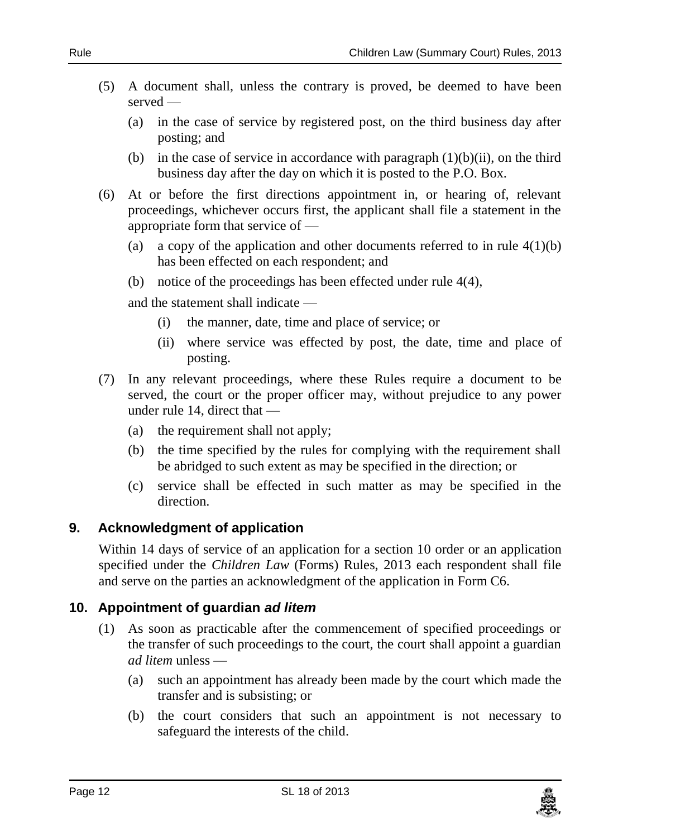- (5) A document shall, unless the contrary is proved, be deemed to have been served —
	- (a) in the case of service by registered post, on the third business day after posting; and
	- (b) in the case of service in accordance with paragraph  $(1)(b)(ii)$ , on the third business day after the day on which it is posted to the P.O. Box.
- (6) At or before the first directions appointment in, or hearing of, relevant proceedings, whichever occurs first, the applicant shall file a statement in the appropriate form that service of —
	- (a) a copy of the application and other documents referred to in rule  $4(1)(b)$ has been effected on each respondent; and
	- (b) notice of the proceedings has been effected under rule 4(4),

and the statement shall indicate —

- (i) the manner, date, time and place of service; or
- (ii) where service was effected by post, the date, time and place of posting.
- (7) In any relevant proceedings, where these Rules require a document to be served, the court or the proper officer may, without prejudice to any power under rule 14, direct that —
	- (a) the requirement shall not apply;
	- (b) the time specified by the rules for complying with the requirement shall be abridged to such extent as may be specified in the direction; or
	- (c) service shall be effected in such matter as may be specified in the direction.

#### <span id="page-11-0"></span>**9. Acknowledgment of application**

Within 14 days of service of an application for a section 10 order or an application specified under the *Children Law* (Forms) Rules, 2013 each respondent shall file and serve on the parties an acknowledgment of the application in Form C6.

#### <span id="page-11-1"></span>**10. Appointment of guardian** *ad litem*

- (1) As soon as practicable after the commencement of specified proceedings or the transfer of such proceedings to the court, the court shall appoint a guardian *ad litem* unless —
	- (a) such an appointment has already been made by the court which made the transfer and is subsisting; or
	- (b) the court considers that such an appointment is not necessary to safeguard the interests of the child.

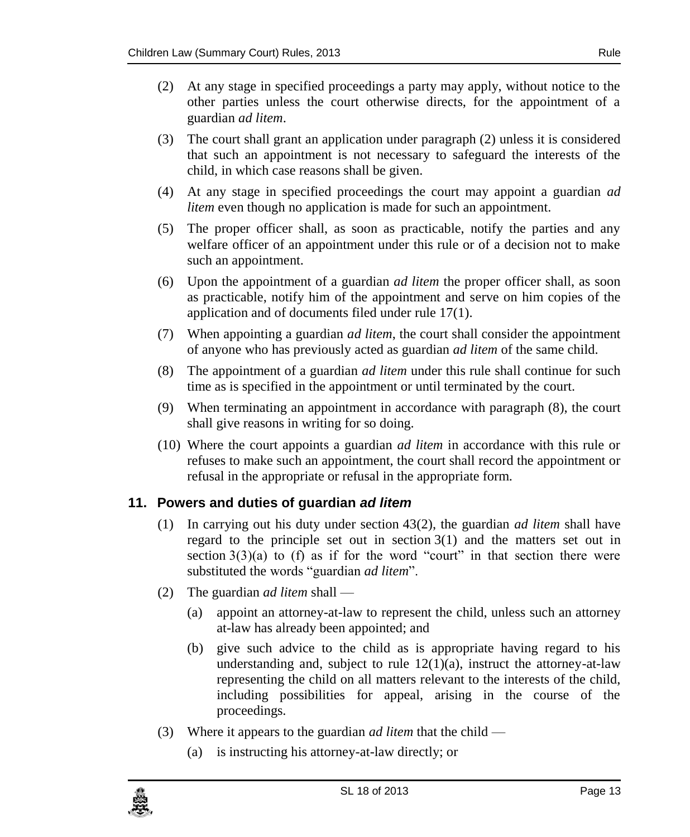- (2) At any stage in specified proceedings a party may apply, without notice to the other parties unless the court otherwise directs, for the appointment of a guardian *ad litem*.
- (3) The court shall grant an application under paragraph (2) unless it is considered that such an appointment is not necessary to safeguard the interests of the child, in which case reasons shall be given.
- (4) At any stage in specified proceedings the court may appoint a guardian *ad litem* even though no application is made for such an appointment.
- (5) The proper officer shall, as soon as practicable, notify the parties and any welfare officer of an appointment under this rule or of a decision not to make such an appointment.
- (6) Upon the appointment of a guardian *ad litem* the proper officer shall, as soon as practicable, notify him of the appointment and serve on him copies of the application and of documents filed under rule 17(1).
- (7) When appointing a guardian *ad litem*, the court shall consider the appointment of anyone who has previously acted as guardian *ad litem* of the same child.
- (8) The appointment of a guardian *ad litem* under this rule shall continue for such time as is specified in the appointment or until terminated by the court.
- (9) When terminating an appointment in accordance with paragraph (8), the court shall give reasons in writing for so doing.
- (10) Where the court appoints a guardian *ad litem* in accordance with this rule or refuses to make such an appointment, the court shall record the appointment or refusal in the appropriate or refusal in the appropriate form.

#### <span id="page-12-0"></span>**11. Powers and duties of guardian** *ad litem*

- (1) In carrying out his duty under section 43(2), the guardian *ad litem* shall have regard to the principle set out in section  $3(1)$  and the matters set out in section  $3(3)(a)$  to (f) as if for the word "court" in that section there were substituted the words "guardian *ad litem*".
- (2) The guardian *ad litem* shall
	- (a) appoint an attorney-at-law to represent the child, unless such an attorney at-law has already been appointed; and
	- (b) give such advice to the child as is appropriate having regard to his understanding and, subject to rule 12(1)(a), instruct the attorney-at-law representing the child on all matters relevant to the interests of the child, including possibilities for appeal, arising in the course of the proceedings.
- (3) Where it appears to the guardian *ad litem* that the child
	- (a) is instructing his attorney-at-law directly; or

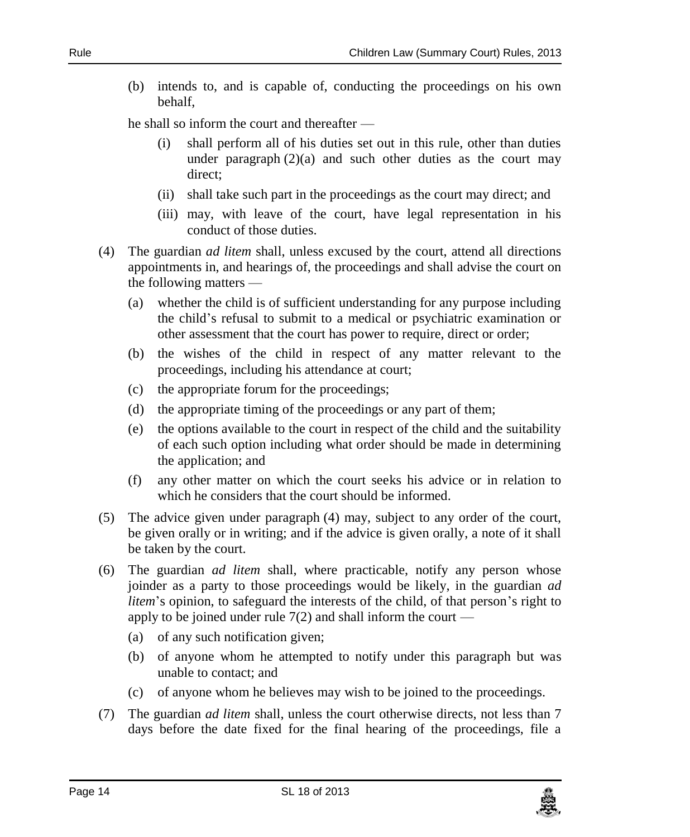(b) intends to, and is capable of, conducting the proceedings on his own behalf,

he shall so inform the court and thereafter —

- (i) shall perform all of his duties set out in this rule, other than duties under paragraph  $(2)(a)$  and such other duties as the court may direct;
- (ii) shall take such part in the proceedings as the court may direct; and
- (iii) may, with leave of the court, have legal representation in his conduct of those duties.
- (4) The guardian *ad litem* shall, unless excused by the court, attend all directions appointments in, and hearings of, the proceedings and shall advise the court on the following matters —
	- (a) whether the child is of sufficient understanding for any purpose including the child's refusal to submit to a medical or psychiatric examination or other assessment that the court has power to require, direct or order;
	- (b) the wishes of the child in respect of any matter relevant to the proceedings, including his attendance at court;
	- (c) the appropriate forum for the proceedings;
	- (d) the appropriate timing of the proceedings or any part of them;
	- (e) the options available to the court in respect of the child and the suitability of each such option including what order should be made in determining the application; and
	- (f) any other matter on which the court seeks his advice or in relation to which he considers that the court should be informed.
- (5) The advice given under paragraph (4) may, subject to any order of the court, be given orally or in writing; and if the advice is given orally, a note of it shall be taken by the court.
- (6) The guardian *ad litem* shall, where practicable, notify any person whose joinder as a party to those proceedings would be likely, in the guardian *ad litem*'s opinion, to safeguard the interests of the child, of that person's right to apply to be joined under rule  $7(2)$  and shall inform the court —
	- (a) of any such notification given;
	- (b) of anyone whom he attempted to notify under this paragraph but was unable to contact; and
	- (c) of anyone whom he believes may wish to be joined to the proceedings.
- (7) The guardian *ad litem* shall, unless the court otherwise directs, not less than 7 days before the date fixed for the final hearing of the proceedings, file a

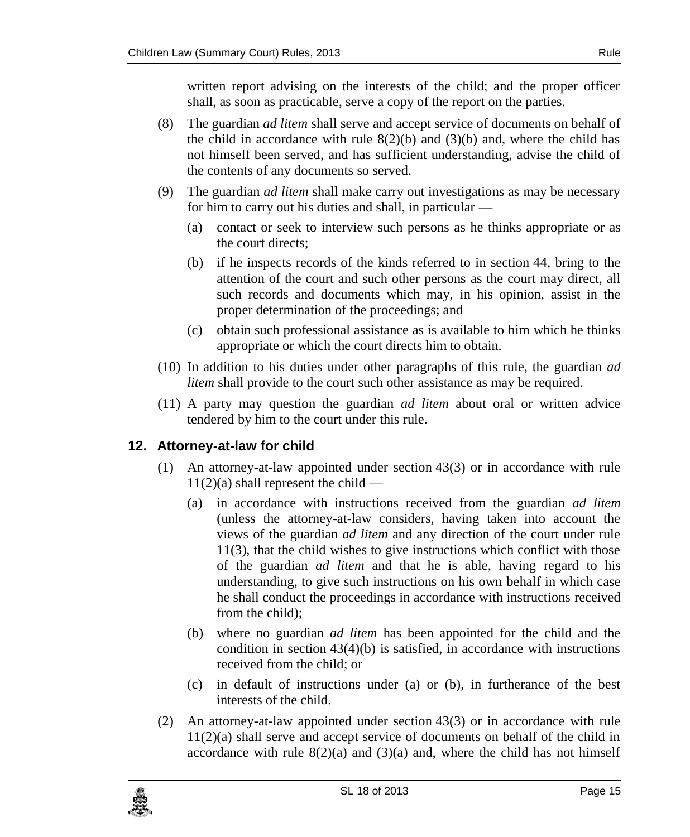written report advising on the interests of the child; and the proper officer shall, as soon as practicable, serve a copy of the report on the parties.

- (8) The guardian *ad litem* shall serve and accept service of documents on behalf of the child in accordance with rule  $8(2)(b)$  and  $(3)(b)$  and, where the child has not himself been served, and has sufficient understanding, advise the child of the contents of any documents so served.
- (9) The guardian *ad litem* shall make carry out investigations as may be necessary for him to carry out his duties and shall, in particular —
	- (a) contact or seek to interview such persons as he thinks appropriate or as the court directs;
	- (b) if he inspects records of the kinds referred to in section 44, bring to the attention of the court and such other persons as the court may direct, all such records and documents which may, in his opinion, assist in the proper determination of the proceedings; and
	- (c) obtain such professional assistance as is available to him which he thinks appropriate or which the court directs him to obtain.
- (10) In addition to his duties under other paragraphs of this rule, the guardian *ad litem* shall provide to the court such other assistance as may be required.
- (11) A party may question the guardian *ad litem* about oral or written advice tendered by him to the court under this rule.

#### <span id="page-14-0"></span>**12. Attorney-at-law for child**

- (1) An attorney-at-law appointed under section 43(3) or in accordance with rule  $11(2)(a)$  shall represent the child —
	- (a) in accordance with instructions received from the guardian *ad litem* (unless the attorney-at-law considers, having taken into account the views of the guardian *ad litem* and any direction of the court under rule 11(3), that the child wishes to give instructions which conflict with those of the guardian *ad litem* and that he is able, having regard to his understanding, to give such instructions on his own behalf in which case he shall conduct the proceedings in accordance with instructions received from the child);
	- (b) where no guardian *ad litem* has been appointed for the child and the condition in section  $43(4)(b)$  is satisfied, in accordance with instructions received from the child; or
	- (c) in default of instructions under (a) or (b), in furtherance of the best interests of the child.
- (2) An attorney-at-law appointed under section 43(3) or in accordance with rule 11(2)(a) shall serve and accept service of documents on behalf of the child in accordance with rule  $8(2)(a)$  and  $(3)(a)$  and, where the child has not himself

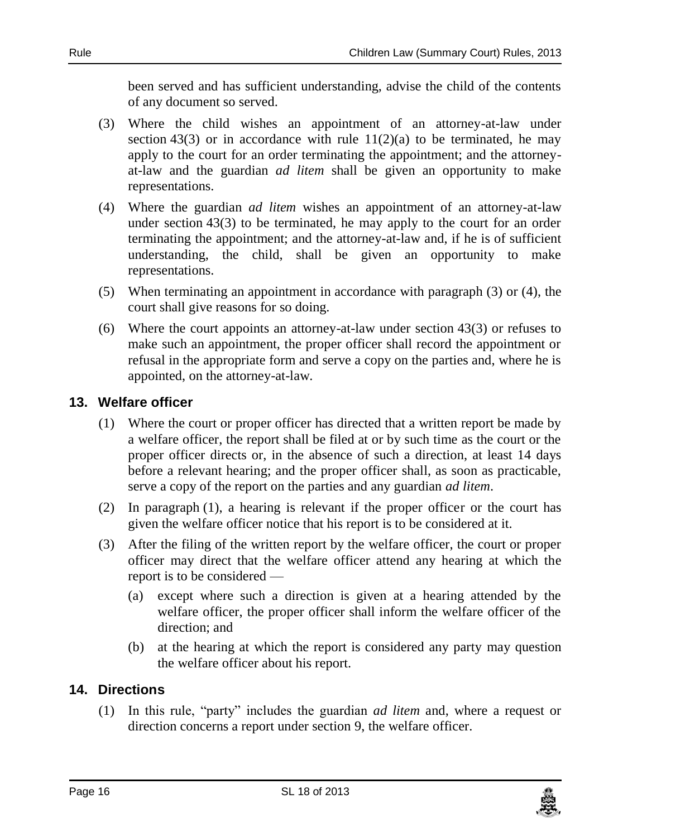been served and has sufficient understanding, advise the child of the contents of any document so served.

- (3) Where the child wishes an appointment of an attorney-at-law under section 43(3) or in accordance with rule  $11(2)(a)$  to be terminated, he may apply to the court for an order terminating the appointment; and the attorneyat-law and the guardian *ad litem* shall be given an opportunity to make representations.
- (4) Where the guardian *ad litem* wishes an appointment of an attorney-at-law under section  $43(3)$  to be terminated, he may apply to the court for an order terminating the appointment; and the attorney-at-law and, if he is of sufficient understanding, the child, shall be given an opportunity to make representations.
- (5) When terminating an appointment in accordance with paragraph (3) or (4), the court shall give reasons for so doing.
- (6) Where the court appoints an attorney-at-law under section 43(3) or refuses to make such an appointment, the proper officer shall record the appointment or refusal in the appropriate form and serve a copy on the parties and, where he is appointed, on the attorney-at-law.

#### <span id="page-15-0"></span>**13. Welfare officer**

- (1) Where the court or proper officer has directed that a written report be made by a welfare officer, the report shall be filed at or by such time as the court or the proper officer directs or, in the absence of such a direction, at least 14 days before a relevant hearing; and the proper officer shall, as soon as practicable, serve a copy of the report on the parties and any guardian *ad litem*.
- (2) In paragraph (1), a hearing is relevant if the proper officer or the court has given the welfare officer notice that his report is to be considered at it.
- (3) After the filing of the written report by the welfare officer, the court or proper officer may direct that the welfare officer attend any hearing at which the report is to be considered —
	- (a) except where such a direction is given at a hearing attended by the welfare officer, the proper officer shall inform the welfare officer of the direction; and
	- (b) at the hearing at which the report is considered any party may question the welfare officer about his report.

#### <span id="page-15-1"></span>**14. Directions**

(1) In this rule, "party" includes the guardian *ad litem* and, where a request or direction concerns a report under section 9, the welfare officer.

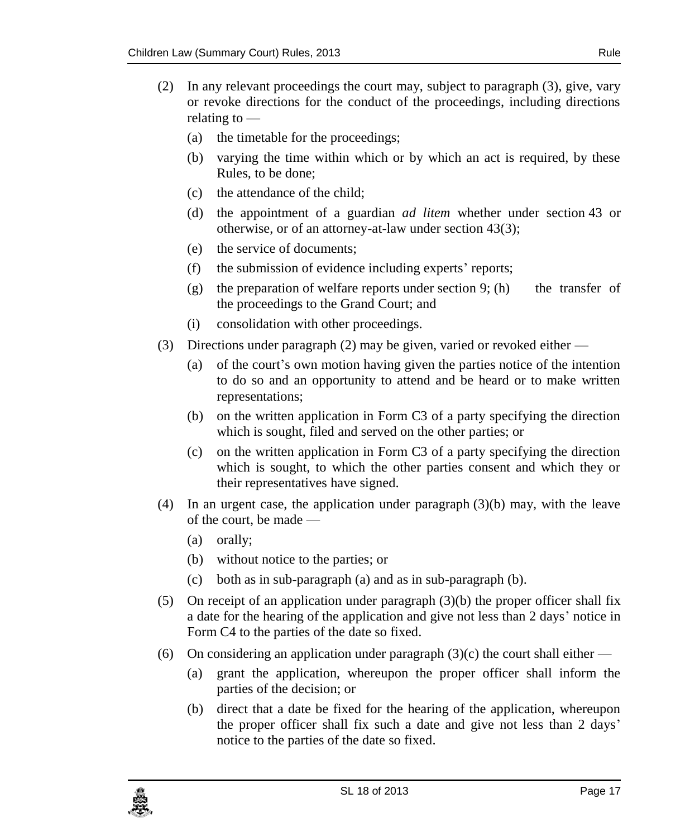- (2) In any relevant proceedings the court may, subject to paragraph (3), give, vary or revoke directions for the conduct of the proceedings, including directions relating to —
	- (a) the timetable for the proceedings;
	- (b) varying the time within which or by which an act is required, by these Rules, to be done;
	- (c) the attendance of the child;
	- (d) the appointment of a guardian *ad litem* whether under section 43 or otherwise, or of an attorney-at-law under section 43(3);
	- (e) the service of documents;
	- (f) the submission of evidence including experts' reports;
	- (g) the preparation of welfare reports under section 9; (h) the transfer of the proceedings to the Grand Court; and
	- (i) consolidation with other proceedings.
- (3) Directions under paragraph (2) may be given, varied or revoked either
	- (a) of the court's own motion having given the parties notice of the intention to do so and an opportunity to attend and be heard or to make written representations;
	- (b) on the written application in Form C3 of a party specifying the direction which is sought, filed and served on the other parties; or
	- (c) on the written application in Form C3 of a party specifying the direction which is sought, to which the other parties consent and which they or their representatives have signed.
- (4) In an urgent case, the application under paragraph (3)(b) may, with the leave of the court, be made —
	- (a) orally;
	- (b) without notice to the parties; or
	- (c) both as in sub-paragraph (a) and as in sub-paragraph (b).
- (5) On receipt of an application under paragraph  $(3)(b)$  the proper officer shall fix a date for the hearing of the application and give not less than 2 days' notice in Form C4 to the parties of the date so fixed.
- (6) On considering an application under paragraph  $(3)(c)$  the court shall either
	- (a) grant the application, whereupon the proper officer shall inform the parties of the decision; or
	- (b) direct that a date be fixed for the hearing of the application, whereupon the proper officer shall fix such a date and give not less than 2 days' notice to the parties of the date so fixed.

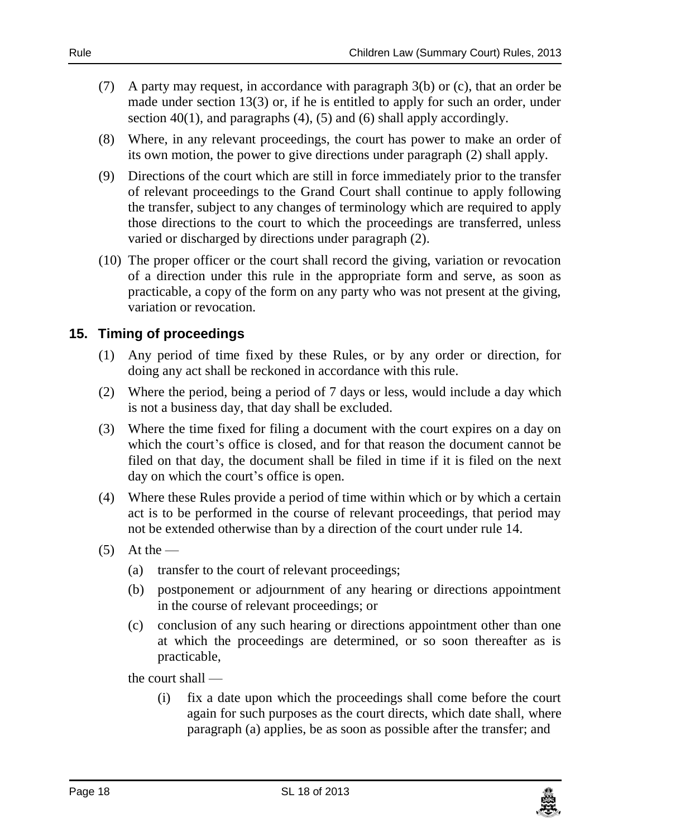- (7) A party may request, in accordance with paragraph 3(b) or (c), that an order be made under section  $13(3)$  or, if he is entitled to apply for such an order, under section  $40(1)$ , and paragraphs  $(4)$ ,  $(5)$  and  $(6)$  shall apply accordingly.
- (8) Where, in any relevant proceedings, the court has power to make an order of its own motion, the power to give directions under paragraph (2) shall apply.
- (9) Directions of the court which are still in force immediately prior to the transfer of relevant proceedings to the Grand Court shall continue to apply following the transfer, subject to any changes of terminology which are required to apply those directions to the court to which the proceedings are transferred, unless varied or discharged by directions under paragraph (2).
- (10) The proper officer or the court shall record the giving, variation or revocation of a direction under this rule in the appropriate form and serve, as soon as practicable, a copy of the form on any party who was not present at the giving, variation or revocation.

#### <span id="page-17-0"></span>**15. Timing of proceedings**

- (1) Any period of time fixed by these Rules, or by any order or direction, for doing any act shall be reckoned in accordance with this rule.
- (2) Where the period, being a period of 7 days or less, would include a day which is not a business day, that day shall be excluded.
- (3) Where the time fixed for filing a document with the court expires on a day on which the court's office is closed, and for that reason the document cannot be filed on that day, the document shall be filed in time if it is filed on the next day on which the court's office is open.
- (4) Where these Rules provide a period of time within which or by which a certain act is to be performed in the course of relevant proceedings, that period may not be extended otherwise than by a direction of the court under rule 14.
- $(5)$  At the
	- (a) transfer to the court of relevant proceedings;
	- (b) postponement or adjournment of any hearing or directions appointment in the course of relevant proceedings; or
	- (c) conclusion of any such hearing or directions appointment other than one at which the proceedings are determined, or so soon thereafter as is practicable,

the court shall —

(i) fix a date upon which the proceedings shall come before the court again for such purposes as the court directs, which date shall, where paragraph (a) applies, be as soon as possible after the transfer; and

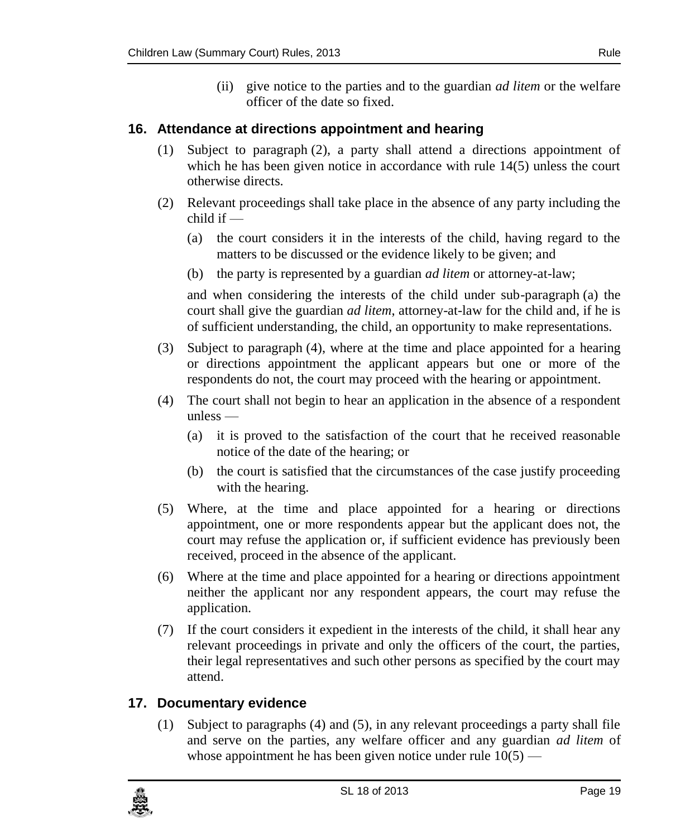(ii) give notice to the parties and to the guardian *ad litem* or the welfare officer of the date so fixed.

#### <span id="page-18-0"></span>**16. Attendance at directions appointment and hearing**

- (1) Subject to paragraph (2), a party shall attend a directions appointment of which he has been given notice in accordance with rule 14(5) unless the court otherwise directs.
- (2) Relevant proceedings shall take place in the absence of any party including the child if —
	- (a) the court considers it in the interests of the child, having regard to the matters to be discussed or the evidence likely to be given; and
	- (b) the party is represented by a guardian *ad litem* or attorney-at-law;

and when considering the interests of the child under sub-paragraph (a) the court shall give the guardian *ad litem*, attorney-at-law for the child and, if he is of sufficient understanding, the child, an opportunity to make representations.

- (3) Subject to paragraph (4), where at the time and place appointed for a hearing or directions appointment the applicant appears but one or more of the respondents do not, the court may proceed with the hearing or appointment.
- (4) The court shall not begin to hear an application in the absence of a respondent unless —
	- (a) it is proved to the satisfaction of the court that he received reasonable notice of the date of the hearing; or
	- (b) the court is satisfied that the circumstances of the case justify proceeding with the hearing.
- (5) Where, at the time and place appointed for a hearing or directions appointment, one or more respondents appear but the applicant does not, the court may refuse the application or, if sufficient evidence has previously been received, proceed in the absence of the applicant.
- (6) Where at the time and place appointed for a hearing or directions appointment neither the applicant nor any respondent appears, the court may refuse the application.
- (7) If the court considers it expedient in the interests of the child, it shall hear any relevant proceedings in private and only the officers of the court, the parties, their legal representatives and such other persons as specified by the court may attend.

#### <span id="page-18-1"></span>**17. Documentary evidence**

(1) Subject to paragraphs (4) and (5), in any relevant proceedings a party shall file and serve on the parties, any welfare officer and any guardian *ad litem* of whose appointment he has been given notice under rule  $10(5)$  —

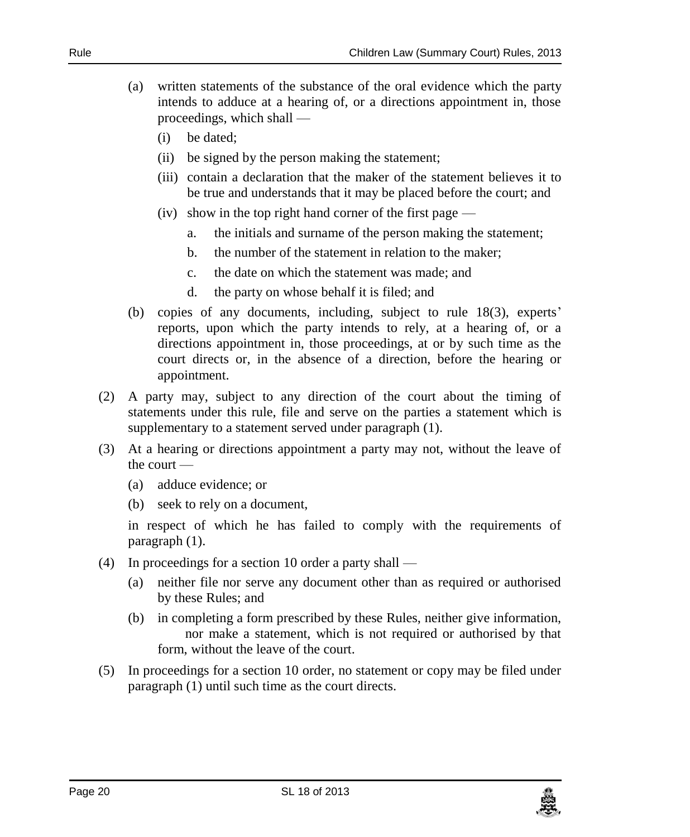- (a) written statements of the substance of the oral evidence which the party intends to adduce at a hearing of, or a directions appointment in, those proceedings, which shall —
	- (i) be dated;
	- (ii) be signed by the person making the statement;
	- (iii) contain a declaration that the maker of the statement believes it to be true and understands that it may be placed before the court; and
	- (iv) show in the top right hand corner of the first page
		- a. the initials and surname of the person making the statement;
		- b. the number of the statement in relation to the maker;
		- c. the date on which the statement was made; and
		- d. the party on whose behalf it is filed; and
- (b) copies of any documents, including, subject to rule 18(3), experts' reports, upon which the party intends to rely, at a hearing of, or a directions appointment in, those proceedings, at or by such time as the court directs or, in the absence of a direction, before the hearing or appointment.
- (2) A party may, subject to any direction of the court about the timing of statements under this rule, file and serve on the parties a statement which is supplementary to a statement served under paragraph (1).
- (3) At a hearing or directions appointment a party may not, without the leave of the court —
	- (a) adduce evidence; or
	- (b) seek to rely on a document,

in respect of which he has failed to comply with the requirements of paragraph (1).

- (4) In proceedings for a section 10 order a party shall
	- (a) neither file nor serve any document other than as required or authorised by these Rules; and
	- (b) in completing a form prescribed by these Rules, neither give information, nor make a statement, which is not required or authorised by that form, without the leave of the court.
- (5) In proceedings for a section 10 order, no statement or copy may be filed under paragraph (1) until such time as the court directs.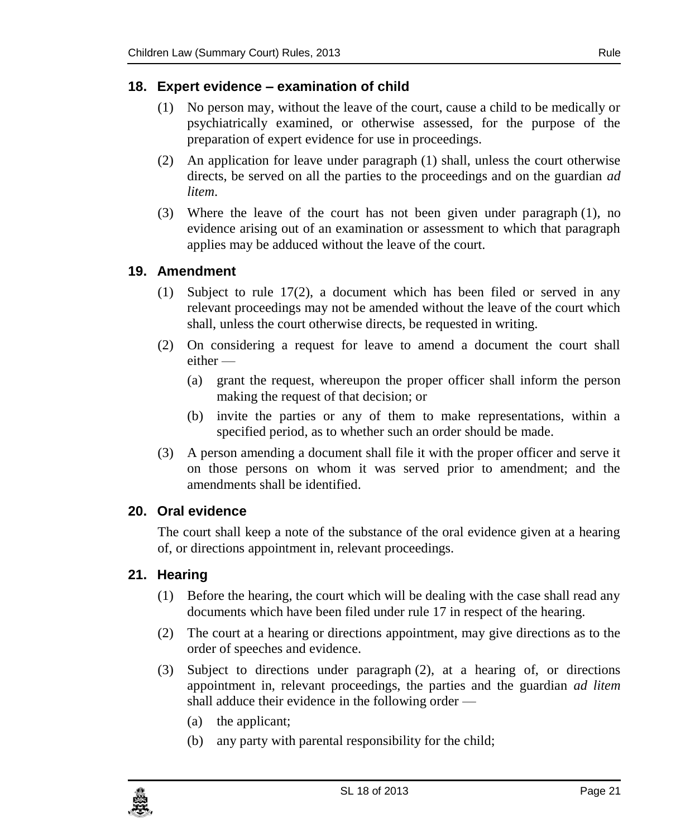#### <span id="page-20-0"></span>**18. Expert evidence – examination of child**

- (1) No person may, without the leave of the court, cause a child to be medically or psychiatrically examined, or otherwise assessed, for the purpose of the preparation of expert evidence for use in proceedings.
- (2) An application for leave under paragraph (1) shall, unless the court otherwise directs, be served on all the parties to the proceedings and on the guardian *ad litem*.
- (3) Where the leave of the court has not been given under paragraph (1), no evidence arising out of an examination or assessment to which that paragraph applies may be adduced without the leave of the court.

#### <span id="page-20-1"></span>**19. Amendment**

- (1) Subject to rule 17(2), a document which has been filed or served in any relevant proceedings may not be amended without the leave of the court which shall, unless the court otherwise directs, be requested in writing.
- (2) On considering a request for leave to amend a document the court shall either —
	- (a) grant the request, whereupon the proper officer shall inform the person making the request of that decision; or
	- (b) invite the parties or any of them to make representations, within a specified period, as to whether such an order should be made.
- (3) A person amending a document shall file it with the proper officer and serve it on those persons on whom it was served prior to amendment; and the amendments shall be identified.

#### <span id="page-20-2"></span>**20. Oral evidence**

The court shall keep a note of the substance of the oral evidence given at a hearing of, or directions appointment in, relevant proceedings.

#### <span id="page-20-3"></span>**21. Hearing**

- (1) Before the hearing, the court which will be dealing with the case shall read any documents which have been filed under rule 17 in respect of the hearing.
- (2) The court at a hearing or directions appointment, may give directions as to the order of speeches and evidence.
- (3) Subject to directions under paragraph (2), at a hearing of, or directions appointment in, relevant proceedings, the parties and the guardian *ad litem* shall adduce their evidence in the following order —
	- (a) the applicant;
	- (b) any party with parental responsibility for the child;

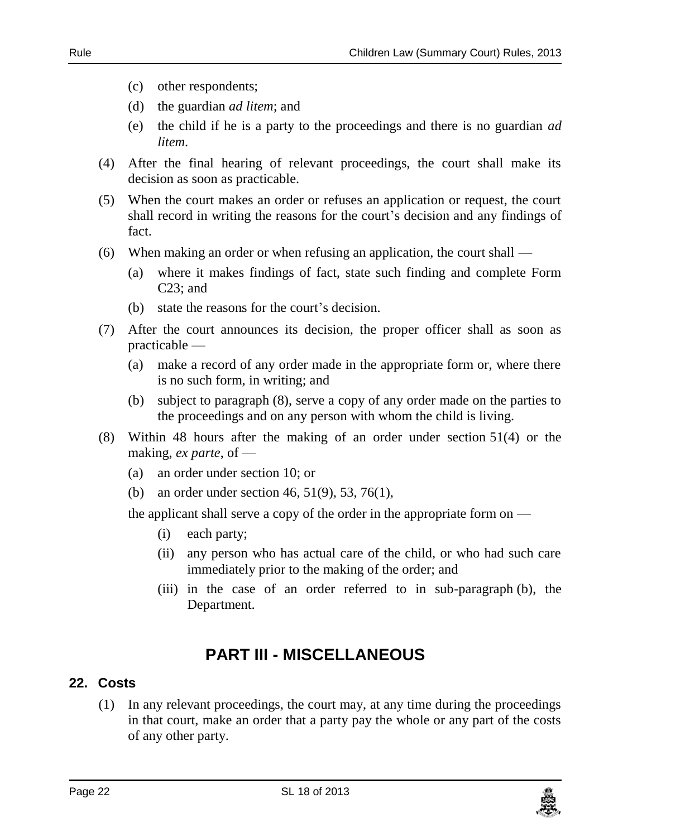- (c) other respondents;
- (d) the guardian *ad litem*; and
- (e) the child if he is a party to the proceedings and there is no guardian *ad litem*.
- (4) After the final hearing of relevant proceedings, the court shall make its decision as soon as practicable.
- (5) When the court makes an order or refuses an application or request, the court shall record in writing the reasons for the court's decision and any findings of fact.
- (6) When making an order or when refusing an application, the court shall
	- (a) where it makes findings of fact, state such finding and complete Form C23; and
	- (b) state the reasons for the court's decision.
- (7) After the court announces its decision, the proper officer shall as soon as practicable —
	- (a) make a record of any order made in the appropriate form or, where there is no such form, in writing; and
	- (b) subject to paragraph (8), serve a copy of any order made on the parties to the proceedings and on any person with whom the child is living.
- (8) Within 48 hours after the making of an order under section 51(4) or the making, *ex parte*, of —
	- (a) an order under section 10; or
	- (b) an order under section 46, 51(9), 53, 76(1),

the applicant shall serve a copy of the order in the appropriate form on —

- (i) each party;
- (ii) any person who has actual care of the child, or who had such care immediately prior to the making of the order; and
- (iii) in the case of an order referred to in sub-paragraph (b), the Department.

# **PART III - MISCELLANEOUS**

#### <span id="page-21-1"></span><span id="page-21-0"></span>**22. Costs**

(1) In any relevant proceedings, the court may, at any time during the proceedings in that court, make an order that a party pay the whole or any part of the costs of any other party.

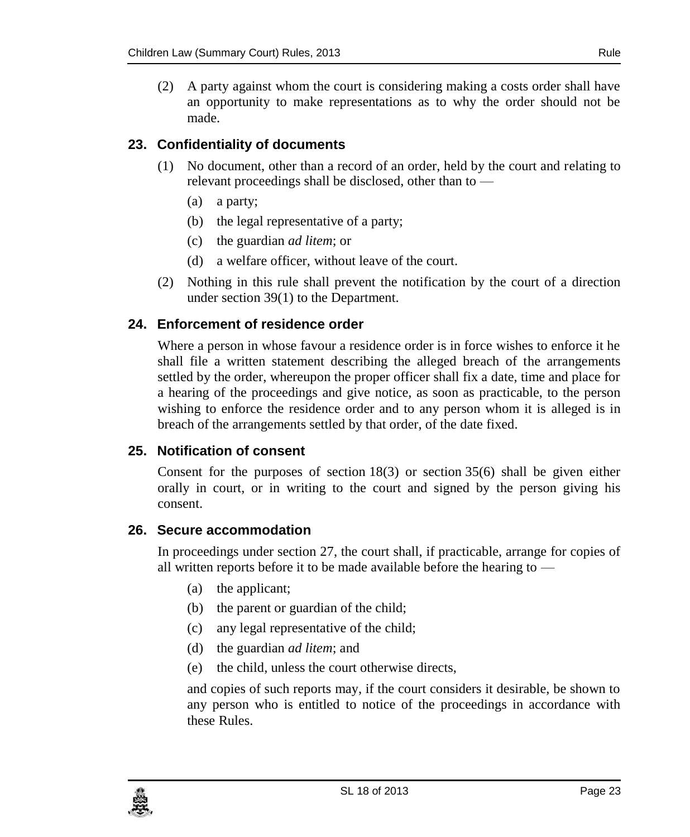(2) A party against whom the court is considering making a costs order shall have an opportunity to make representations as to why the order should not be made.

#### <span id="page-22-0"></span>**23. Confidentiality of documents**

- (1) No document, other than a record of an order, held by the court and relating to relevant proceedings shall be disclosed, other than to —
	- (a) a party;
	- (b) the legal representative of a party;
	- (c) the guardian *ad litem*; or
	- (d) a welfare officer, without leave of the court.
- (2) Nothing in this rule shall prevent the notification by the court of a direction under section 39(1) to the Department.

#### <span id="page-22-1"></span>**24. Enforcement of residence order**

Where a person in whose favour a residence order is in force wishes to enforce it he shall file a written statement describing the alleged breach of the arrangements settled by the order, whereupon the proper officer shall fix a date, time and place for a hearing of the proceedings and give notice, as soon as practicable, to the person wishing to enforce the residence order and to any person whom it is alleged is in breach of the arrangements settled by that order, of the date fixed.

#### <span id="page-22-2"></span>**25. Notification of consent**

Consent for the purposes of section  $18(3)$  or section  $35(6)$  shall be given either orally in court, or in writing to the court and signed by the person giving his consent.

#### <span id="page-22-3"></span>**26. Secure accommodation**

In proceedings under section 27, the court shall, if practicable, arrange for copies of all written reports before it to be made available before the hearing to —

- (a) the applicant;
- (b) the parent or guardian of the child;
- (c) any legal representative of the child;
- (d) the guardian *ad litem*; and
- (e) the child, unless the court otherwise directs,

and copies of such reports may, if the court considers it desirable, be shown to any person who is entitled to notice of the proceedings in accordance with these Rules.

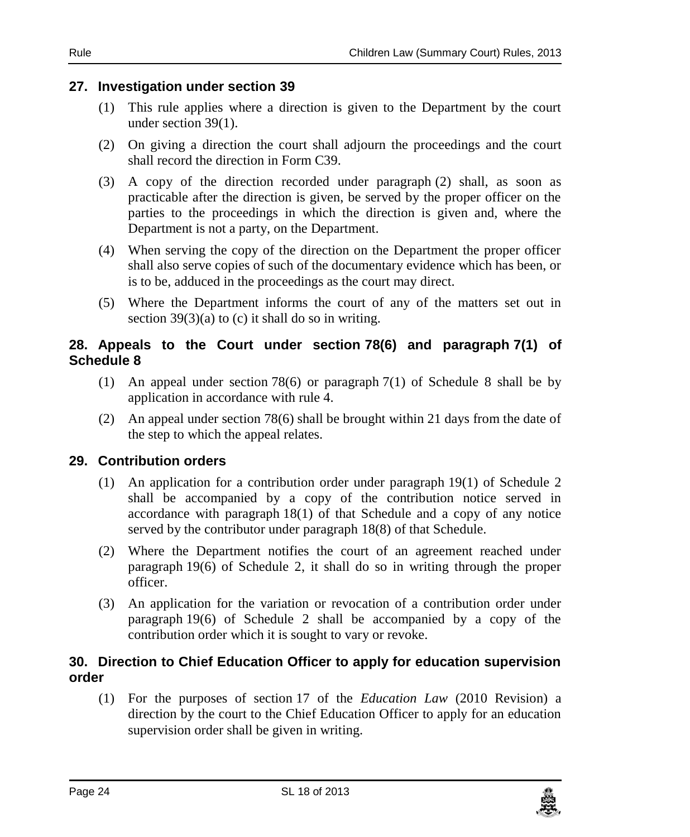#### <span id="page-23-0"></span>**27. Investigation under section 39**

- (1) This rule applies where a direction is given to the Department by the court under section 39(1).
- (2) On giving a direction the court shall adjourn the proceedings and the court shall record the direction in Form C39.
- (3) A copy of the direction recorded under paragraph (2) shall, as soon as practicable after the direction is given, be served by the proper officer on the parties to the proceedings in which the direction is given and, where the Department is not a party, on the Department.
- (4) When serving the copy of the direction on the Department the proper officer shall also serve copies of such of the documentary evidence which has been, or is to be, adduced in the proceedings as the court may direct.
- (5) Where the Department informs the court of any of the matters set out in section  $39(3)(a)$  to (c) it shall do so in writing.

#### <span id="page-23-1"></span>**28. Appeals to the Court under section 78(6) and paragraph 7(1) of Schedule 8**

- (1) An appeal under section 78(6) or paragraph 7(1) of Schedule 8 shall be by application in accordance with rule 4.
- (2) An appeal under section 78(6) shall be brought within 21 days from the date of the step to which the appeal relates.

#### <span id="page-23-2"></span>**29. Contribution orders**

- (1) An application for a contribution order under paragraph 19(1) of Schedule 2 shall be accompanied by a copy of the contribution notice served in accordance with paragraph 18(1) of that Schedule and a copy of any notice served by the contributor under paragraph 18(8) of that Schedule.
- (2) Where the Department notifies the court of an agreement reached under paragraph 19(6) of Schedule 2, it shall do so in writing through the proper officer.
- (3) An application for the variation or revocation of a contribution order under paragraph 19(6) of Schedule 2 shall be accompanied by a copy of the contribution order which it is sought to vary or revoke.

#### <span id="page-23-3"></span>**30. Direction to Chief Education Officer to apply for education supervision order**

(1) For the purposes of section 17 of the *Education Law* (2010 Revision) a direction by the court to the Chief Education Officer to apply for an education supervision order shall be given in writing.

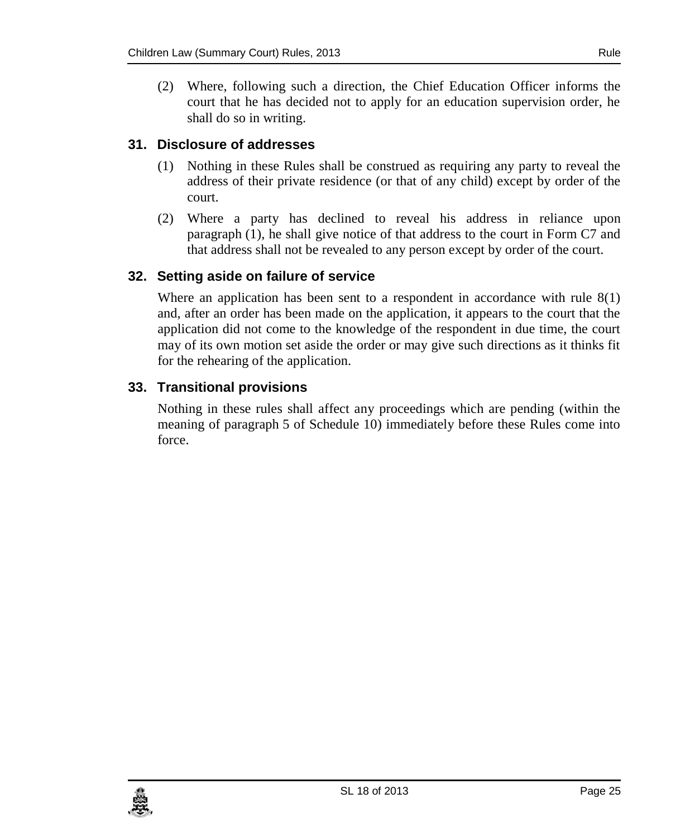(2) Where, following such a direction, the Chief Education Officer informs the court that he has decided not to apply for an education supervision order, he shall do so in writing.

#### <span id="page-24-0"></span>**31. Disclosure of addresses**

- (1) Nothing in these Rules shall be construed as requiring any party to reveal the address of their private residence (or that of any child) except by order of the court.
- (2) Where a party has declined to reveal his address in reliance upon paragraph (1), he shall give notice of that address to the court in Form C7 and that address shall not be revealed to any person except by order of the court.

#### <span id="page-24-1"></span>**32. Setting aside on failure of service**

Where an application has been sent to a respondent in accordance with rule  $8(1)$ and, after an order has been made on the application, it appears to the court that the application did not come to the knowledge of the respondent in due time, the court may of its own motion set aside the order or may give such directions as it thinks fit for the rehearing of the application.

#### <span id="page-24-2"></span>**33. Transitional provisions**

Nothing in these rules shall affect any proceedings which are pending (within the meaning of paragraph 5 of Schedule 10) immediately before these Rules come into force.

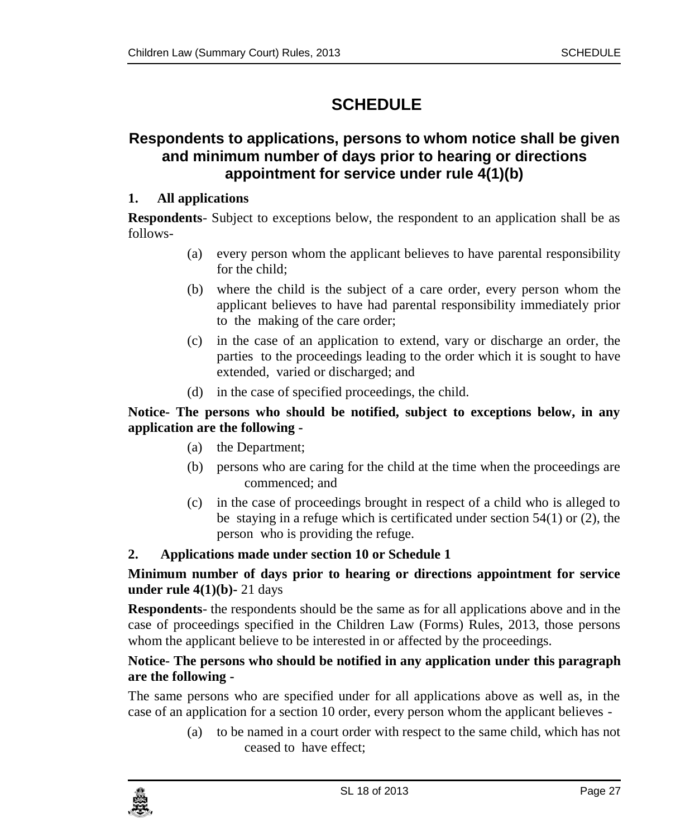# <span id="page-26-0"></span>**SCHEDULE**

## <span id="page-26-1"></span>**Respondents to applications, persons to whom notice shall be given and minimum number of days prior to hearing or directions appointment for service under rule 4(1)(b)**

#### **1. All applications**

**Respondents**- Subject to exceptions below, the respondent to an application shall be as follows-

- (a) every person whom the applicant believes to have parental responsibility for the child;
- (b) where the child is the subject of a care order, every person whom the applicant believes to have had parental responsibility immediately prior to the making of the care order;
- (c) in the case of an application to extend, vary or discharge an order, the parties to the proceedings leading to the order which it is sought to have extended, varied or discharged; and
- (d) in the case of specified proceedings, the child.

#### **Notice- The persons who should be notified, subject to exceptions below, in any application are the following -**

- (a) the Department;
- (b) persons who are caring for the child at the time when the proceedings are commenced; and
- (c) in the case of proceedings brought in respect of a child who is alleged to be staying in a refuge which is certificated under section 54(1) or (2), the person who is providing the refuge.

#### **2. Applications made under section 10 or Schedule 1**

#### **Minimum number of days prior to hearing or directions appointment for service under rule 4(1)(b)-** 21 days

**Respondents**- the respondents should be the same as for all applications above and in the case of proceedings specified in the Children Law (Forms) Rules, 2013, those persons whom the applicant believe to be interested in or affected by the proceedings.

#### **Notice- The persons who should be notified in any application under this paragraph are the following -**

The same persons who are specified under for all applications above as well as, in the case of an application for a section 10 order, every person whom the applicant believes -

> (a) to be named in a court order with respect to the same child, which has not ceased to have effect;

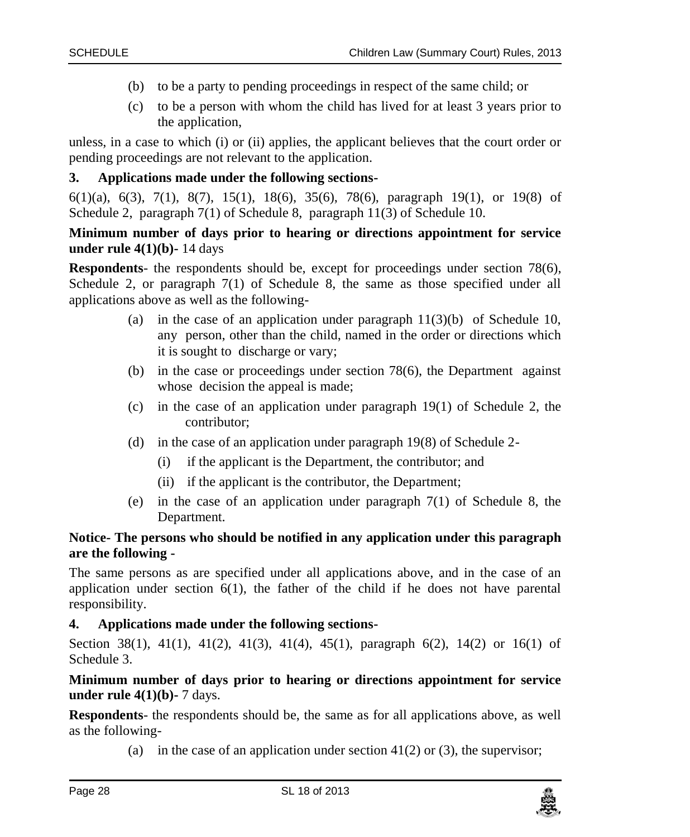- (b) to be a party to pending proceedings in respect of the same child; or
- (c) to be a person with whom the child has lived for at least 3 years prior to the application,

unless, in a case to which (i) or (ii) applies, the applicant believes that the court order or pending proceedings are not relevant to the application.

#### **3. Applications made under the following sections-**

6(1)(a), 6(3), 7(1), 8(7), 15(1), 18(6), 35(6), 78(6), paragraph 19(1), or 19(8) of Schedule 2, paragraph 7(1) of Schedule 8, paragraph 11(3) of Schedule 10.

#### **Minimum number of days prior to hearing or directions appointment for service under rule 4(1)(b)-** 14 days

**Respondents**- the respondents should be, except for proceedings under section 78(6), Schedule 2, or paragraph 7(1) of Schedule 8, the same as those specified under all applications above as well as the following-

- (a) in the case of an application under paragraph 11(3)(b) of Schedule 10, any person, other than the child, named in the order or directions which it is sought to discharge or vary;
- (b) in the case or proceedings under section 78(6), the Department against whose decision the appeal is made;
- (c) in the case of an application under paragraph 19(1) of Schedule 2, the contributor;
- (d) in the case of an application under paragraph 19(8) of Schedule 2-
	- (i) if the applicant is the Department, the contributor; and
	- (ii) if the applicant is the contributor, the Department;
- (e) in the case of an application under paragraph 7(1) of Schedule 8, the Department.

#### **Notice- The persons who should be notified in any application under this paragraph are the following -**

The same persons as are specified under all applications above, and in the case of an application under section  $6(1)$ , the father of the child if he does not have parental responsibility.

#### **4. Applications made under the following sections-**

Section 38(1), 41(1), 41(2), 41(3), 41(4), 45(1), paragraph  $6(2)$ , 14(2) or 16(1) of Schedule 3.

**Minimum number of days prior to hearing or directions appointment for service under rule 4(1)(b)-** 7 days.

**Respondents**- the respondents should be, the same as for all applications above, as well as the following-

(a) in the case of an application under section  $41(2)$  or (3), the supervisor;

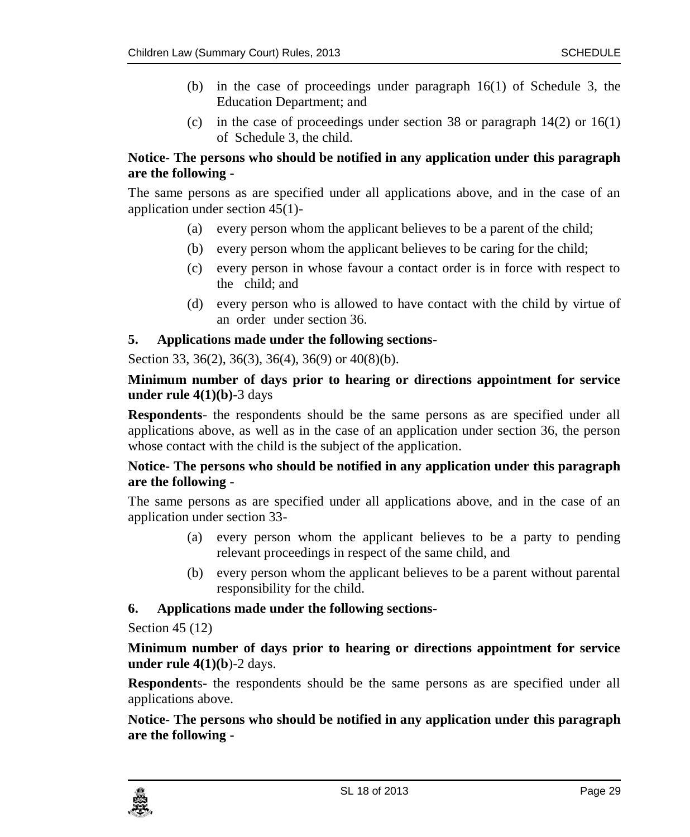- (b) in the case of proceedings under paragraph 16(1) of Schedule 3, the Education Department; and
- (c) in the case of proceedings under section 38 or paragraph  $14(2)$  or  $16(1)$ of Schedule 3, the child.

#### **Notice- The persons who should be notified in any application under this paragraph are the following -**

The same persons as are specified under all applications above, and in the case of an application under section 45(1)-

- (a) every person whom the applicant believes to be a parent of the child;
- (b) every person whom the applicant believes to be caring for the child;
- (c) every person in whose favour a contact order is in force with respect to the child; and
- (d) every person who is allowed to have contact with the child by virtue of an order under section 36.

#### **5. Applications made under the following sections-**

Section 33, 36(2), 36(3), 36(4), 36(9) or 40(8)(b).

#### **Minimum number of days prior to hearing or directions appointment for service under rule 4(1)(b)-**3 days

**Respondents**- the respondents should be the same persons as are specified under all applications above, as well as in the case of an application under section 36, the person whose contact with the child is the subject of the application.

#### **Notice- The persons who should be notified in any application under this paragraph are the following -**

The same persons as are specified under all applications above, and in the case of an application under section 33-

- (a) every person whom the applicant believes to be a party to pending relevant proceedings in respect of the same child, and
- (b) every person whom the applicant believes to be a parent without parental responsibility for the child.

#### **6. Applications made under the following sections-**

Section 45 (12)

**Minimum number of days prior to hearing or directions appointment for service under rule**  $4(1)(b)$ -2 days.

**Respondent**s- the respondents should be the same persons as are specified under all applications above.

**Notice- The persons who should be notified in any application under this paragraph are the following -**

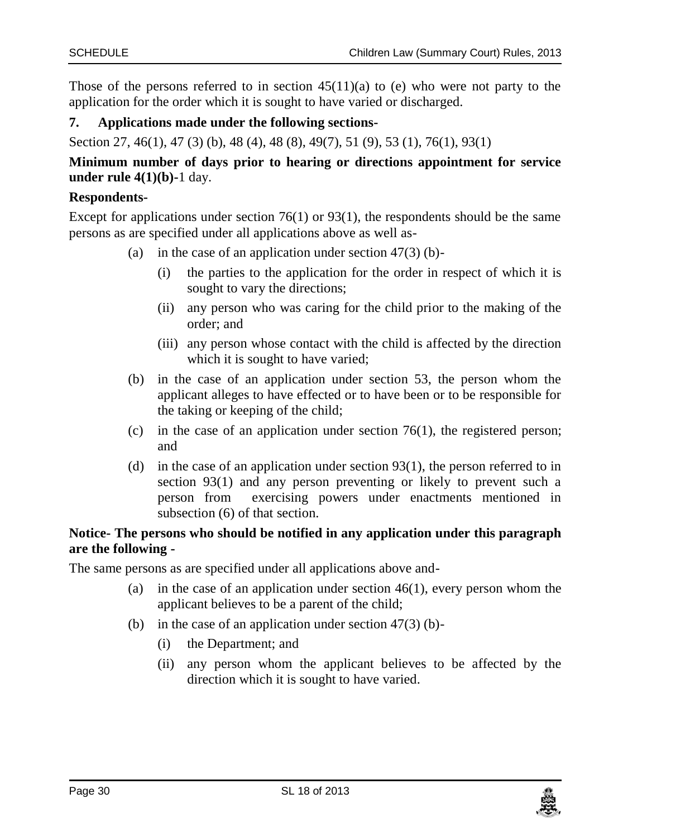Those of the persons referred to in section  $45(11)(a)$  to (e) who were not party to the application for the order which it is sought to have varied or discharged.

#### **7. Applications made under the following sections-**

Section 27, 46(1), 47 (3) (b), 48 (4), 48 (8), 49(7), 51 (9), 53 (1), 76(1), 93(1)

#### **Minimum number of days prior to hearing or directions appointment for service under rule 4(1)(b)-**1 day.

#### **Respondents-**

Except for applications under section  $76(1)$  or  $93(1)$ , the respondents should be the same persons as are specified under all applications above as well as-

- (a) in the case of an application under section  $47(3)$  (b)-
	- (i) the parties to the application for the order in respect of which it is sought to vary the directions;
	- (ii) any person who was caring for the child prior to the making of the order; and
	- (iii) any person whose contact with the child is affected by the direction which it is sought to have varied;
- (b) in the case of an application under section 53, the person whom the applicant alleges to have effected or to have been or to be responsible for the taking or keeping of the child;
- (c) in the case of an application under section  $76(1)$ , the registered person; and
- (d) in the case of an application under section  $93(1)$ , the person referred to in section 93(1) and any person preventing or likely to prevent such a person from exercising powers under enactments mentioned in subsection (6) of that section.

#### **Notice- The persons who should be notified in any application under this paragraph are the following -**

The same persons as are specified under all applications above and-

- (a) in the case of an application under section  $46(1)$ , every person whom the applicant believes to be a parent of the child;
- (b) in the case of an application under section  $47(3)$  (b)-
	- (i) the Department; and
	- (ii) any person whom the applicant believes to be affected by the direction which it is sought to have varied.